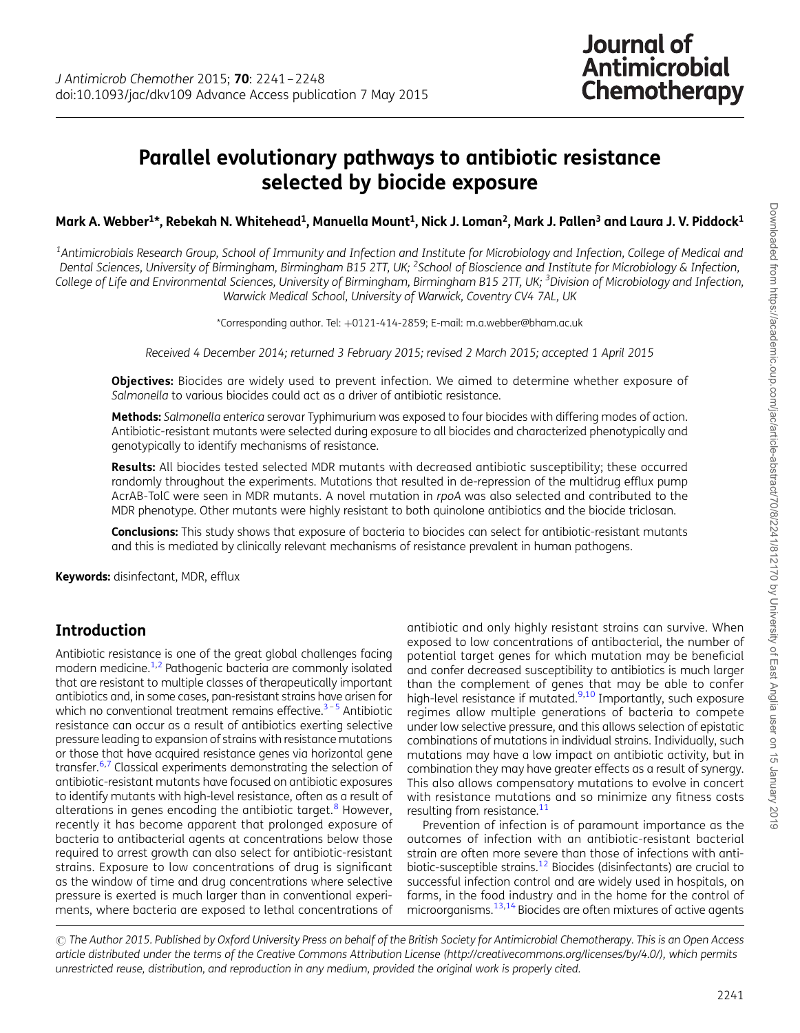# Parallel evolutionary pathways to antibiotic resistance selected by biocide exposure

#### Mark A. Webber<sup>1\*</sup>, Rebekah N. Whitehead<sup>1</sup>, Manuella Mount<sup>1</sup>, Nick J. Loman<sup>2</sup>, Mark J. Pallen<sup>3</sup> and Laura J. V. Piddock<sup>1</sup>

 $^{\rm 1}$ Antimicrobials Research Group, School of Immunity and Infection and Institute for Microbiology and Infection, College of Medical and Dental Sciences, University of Birmingham, Birmingham B15 2TT, UK; <sup>2</sup>School of Bioscience and Institute for Microbiology & Infection, College of Life and Environmental Sciences, University of Birmingham, Birmingham B15 2TT, UK; <sup>3</sup>Division of Microbiology and Infection, Warwick Medical School, University of Warwick, Coventry CV4 7AL, UK

\*Corresponding author. Tel: +0121-414-2859; E-mail: m.a.webber@bham.ac.uk

Received 4 December 2014; returned 3 February 2015; revised 2 March 2015; accepted 1 April 2015

**Objectives:** Biocides are widely used to prevent infection. We aimed to determine whether exposure of Salmonella to various biocides could act as a driver of antibiotic resistance.

Methods: Salmonella enterica serovar Typhimurium was exposed to four biocides with differing modes of action. Antibiotic-resistant mutants were selected during exposure to all biocides and characterized phenotypically and genotypically to identify mechanisms of resistance.

Results: All biocides tested selected MDR mutants with decreased antibiotic susceptibility; these occurred randomly throughout the experiments. Mutations that resulted in de-repression of the multidrug efflux pump AcrAB-TolC were seen in MDR mutants. A novel mutation in rpoA was also selected and contributed to the MDR phenotype. Other mutants were highly resistant to both quinolone antibiotics and the biocide triclosan.

Conclusions: This study shows that exposure of bacteria to biocides can select for antibiotic-resistant mutants and this is mediated by clinically relevant mechanisms of resistance prevalent in human pathogens.

Keywords: disinfectant, MDR, efflux

### Introduction

Antibiotic resistance is one of the great global challenges facing modern medicine.<sup>[1,2](#page-6-0)</sup> Pathogenic bacteria are commonly isolated that are resistant to multiple classes of therapeutically important antibiotics and, in some cases, pan-resistant strains have arisen for which no conventional treatment remains effective. $3-5$  $3-5$  $3-5$  Antibiotic resistance can occur as a result of antibiotics exerting selective pressure leading to expansion of strains with resistance mutations or those that have acquired resistance genes via horizontal gene transfer.<sup>[6,7](#page-6-0)</sup> Classical experiments demonstrating the selection of antibiotic-resistant mutants have focused on antibiotic exposures to identify mutants with high-level resistance, often as a result of alterations in genes encoding the antibiotic target. $8$  However, recently it has become apparent that prolonged exposure of bacteria to antibacterial agents at concentrations below those required to arrest growth can also select for antibiotic-resistant strains. Exposure to low concentrations of drug is significant as the window of time and drug concentrations where selective pressure is exerted is much larger than in conventional experiments, where bacteria are exposed to lethal concentrations of

antibiotic and only highly resistant strains can survive. When exposed to low concentrations of antibacterial, the number of potential target genes for which mutation may be beneficial and confer decreased susceptibility to antibiotics is much larger than the complement of genes that may be able to confer high-level resistance if mutated.<sup>[9,10](#page-6-0)</sup> Importantly, such exposure regimes allow multiple generations of bacteria to compete under low selective pressure, and this allows selection of epistatic combinations of mutations in individual strains. Individually, such mutations may have a low impact on antibiotic activity, but in combination they may have greater effects as a result of synergy. This also allows compensatory mutations to evolve in concert with resistance mutations and so minimize any fitness costs resulting from resistance.<sup>[11](#page-6-0)</sup>

Prevention of infection is of paramount importance as the outcomes of infection with an antibiotic-resistant bacterial strain are often more severe than those of infections with anti-biotic-susceptible strains.<sup>[12](#page-6-0)</sup> Biocides (disinfectants) are crucial to successful infection control and are widely used in hospitals, on farms, in the food industry and in the home for the control of microorganisms.[13,14](#page-6-0) Biocides are often mixtures of active agents

© The Author 2015. Published by Oxford University Press on behalf of the British Society for Antimicrobial Chemotherapy. This is an Open Access article distributed under the terms of the Creative Commons Attribution License (http://creativecommons.org/licenses/by/4.0/), which permits unrestricted reuse, distribution, and reproduction in any medium, provided the original work is properly cited.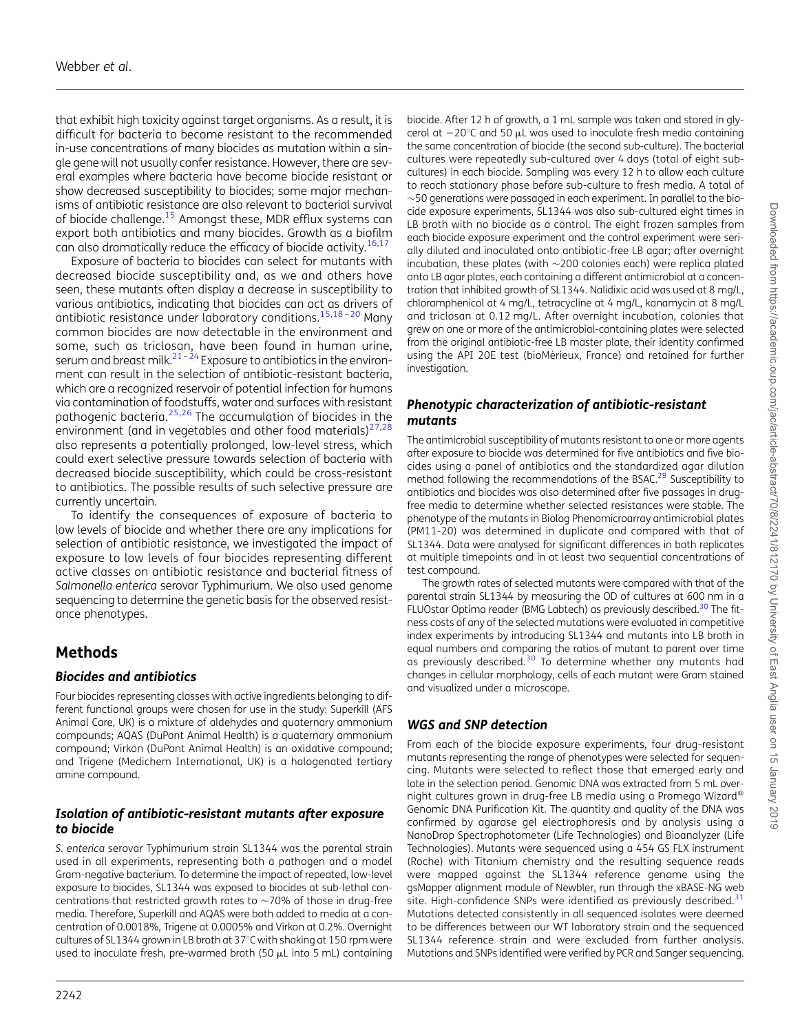that exhibit high toxicity against target organisms. As a result, it is difficult for bacteria to become resistant to the recommended in-use concentrations of many biocides as mutation within a single gene will not usually confer resistance. However, there are several examples where bacteria have become biocide resistant or show decreased susceptibility to biocides; some major mechanisms of antibiotic resistance are also relevant to bacterial survival of biocide challenge.<sup>[15](#page-6-0)</sup> Amongst these, MDR efflux systems can export both antibiotics and many biocides. Growth as a biofilm can also dramatically reduce the efficacy of biocide activity.<sup>[16,17](#page-6-0)</sup>

Exposure of bacteria to biocides can select for mutants with decreased biocide susceptibility and, as we and others have seen, these mutants often display a decrease in susceptibility to various antibiotics, indicating that biocides can act as drivers of antibiotic resistance under laboratory conditions.<sup>[15](#page-6-0),[18](#page-6-0)-[20](#page-6-0)</sup> Many common biocides are now detectable in the environment and some, such as triclosan, have been found in human urine, serum and breast milk.<sup>[21](#page-6-0) – [24](#page-6-0)</sup> Exposure to antibiotics in the environment can result in the selection of antibiotic-resistant bacteria, which are a recognized reservoir of potential infection for humans via contamination of foodstuffs, water and surfaces with resistant pathogenic bacteria.<sup>[25](#page-6-0),[26](#page-7-0)</sup> The accumulation of biocides in the environment (and in vegetables and other food materials) $27,28$ also represents a potentially prolonged, low-level stress, which could exert selective pressure towards selection of bacteria with decreased biocide susceptibility, which could be cross-resistant to antibiotics. The possible results of such selective pressure are currently uncertain.

To identify the consequences of exposure of bacteria to low levels of biocide and whether there are any implications for selection of antibiotic resistance, we investigated the impact of exposure to low levels of four biocides representing different active classes on antibiotic resistance and bacterial fitness of Salmonella enterica serovar Typhimurium. We also used genome sequencing to determine the genetic basis for the observed resistance phenotypes.

### Methods

#### Biocides and antibiotics

Four biocides representing classes with active ingredients belonging to different functional groups were chosen for use in the study: Superkill (AFS Animal Care, UK) is a mixture of aldehydes and quaternary ammonium compounds; AQAS (DuPont Animal Health) is a quaternary ammonium compound; Virkon (DuPont Animal Health) is an oxidative compound; and Trigene (Medichem International, UK) is a halogenated tertiary amine compound.

#### Isolation of antibiotic-resistant mutants after exposure to biocide

S. enterica serovar Typhimurium strain SL1344 was the parental strain used in all experiments, representing both a pathogen and a model Gram-negative bacterium. To determine the impact of repeated, low-level exposure to biocides, SL1344 was exposed to biocides at sub-lethal concentrations that restricted growth rates to  $\sim$ 70% of those in drug-free media. Therefore, Superkill and AQAS were both added to media at a concentration of 0.0018%, Trigene at 0.0005% and Virkon at 0.2%. Overnight cultures of SL1344 grown in LB broth at 37 $\degree$ C with shaking at 150 rpm were used to inoculate fresh, pre-warmed broth (50  $\mu$ L into 5 mL) containing

biocide. After 12 h of growth, a 1 mL sample was taken and stored in glycerol at  $-20^{\circ}$ C and 50  $\mu$ L was used to inoculate fresh media containing the same concentration of biocide (the second sub-culture). The bacterial cultures were repeatedly sub-cultured over 4 days (total of eight subcultures) in each biocide. Sampling was every 12 h to allow each culture to reach stationary phase before sub-culture to fresh media. A total of  $\sim$  50 generations were passaged in each experiment. In parallel to the biocide exposure experiments, SL1344 was also sub-cultured eight times in LB broth with no biocide as a control. The eight frozen samples from each biocide exposure experiment and the control experiment were serially diluted and inoculated onto antibiotic-free LB agar; after overnight incubation, these plates (with  $\sim$ 200 colonies each) were replica plated onto LB agar plates, each containing a different antimicrobial at a concentration that inhibited growth of SL1344. Nalidixic acid was used at 8 mg/L, chloramphenicol at 4 mg/L, tetracycline at 4 mg/L, kanamycin at 8 mg/L and triclosan at 0.12 mg/L. After overnight incubation, colonies that grew on one or more of the antimicrobial-containing plates were selected from the original antibiotic-free LB master plate, their identity confirmed using the API 20E test (bioMérieux, France) and retained for further investigation.

#### Phenotypic characterization of antibiotic-resistant mutants

The antimicrobial susceptibility of mutants resistant to one or more agents after exposure to biocide was determined for five antibiotics and five biocides using a panel of antibiotics and the standardized agar dilution method following the recommendations of the BSAC.<sup>[29](#page-7-0)</sup> Susceptibility to antibiotics and biocides was also determined after five passages in drugfree media to determine whether selected resistances were stable. The phenotype of the mutants in Biolog Phenomicroarray antimicrobial plates (PM11-20) was determined in duplicate and compared with that of SL1344. Data were analysed for significant differences in both replicates at multiple timepoints and in at least two sequential concentrations of test compound.

The growth rates of selected mutants were compared with that of the parental strain SL1344 by measuring the OD of cultures at 600 nm in a FLUOstar Optima reader (BMG Labtech) as previously described.<sup>[30](#page-7-0)</sup> The fitness costs of any of the selected mutations were evaluated in competitive index experiments by introducing SL1344 and mutants into LB broth in equal numbers and comparing the ratios of mutant to parent over time as previously described.<sup>[30](#page-7-0)</sup> To determine whether any mutants had changes in cellular morphology, cells of each mutant were Gram stained and visualized under a microscope.

### WGS and SNP detection

From each of the biocide exposure experiments, four drug-resistant mutants representing the range of phenotypes were selected for sequencing. Mutants were selected to reflect those that emerged early and late in the selection period. Genomic DNA was extracted from 5 mL overnight cultures grown in drug-free LB media using a Promega Wizard $^{\circledR}$ Genomic DNA Purification Kit. The quantity and quality of the DNA was confirmed by agarose gel electrophoresis and by analysis using a NanoDrop Spectrophotometer (Life Technologies) and Bioanalyzer (Life Technologies). Mutants were sequenced using a 454 GS FLX instrument (Roche) with Titanium chemistry and the resulting sequence reads were mapped against the SL1344 reference genome using the gsMapper alignment module of Newbler, run through the xBASE-NG web site. High-confidence SNPs were identified as previously described. $31$ Mutations detected consistently in all sequenced isolates were deemed to be differences between our WT laboratory strain and the sequenced SL1344 reference strain and were excluded from further analysis. Mutations and SNPs identified were verified by PCR and Sanger sequencing.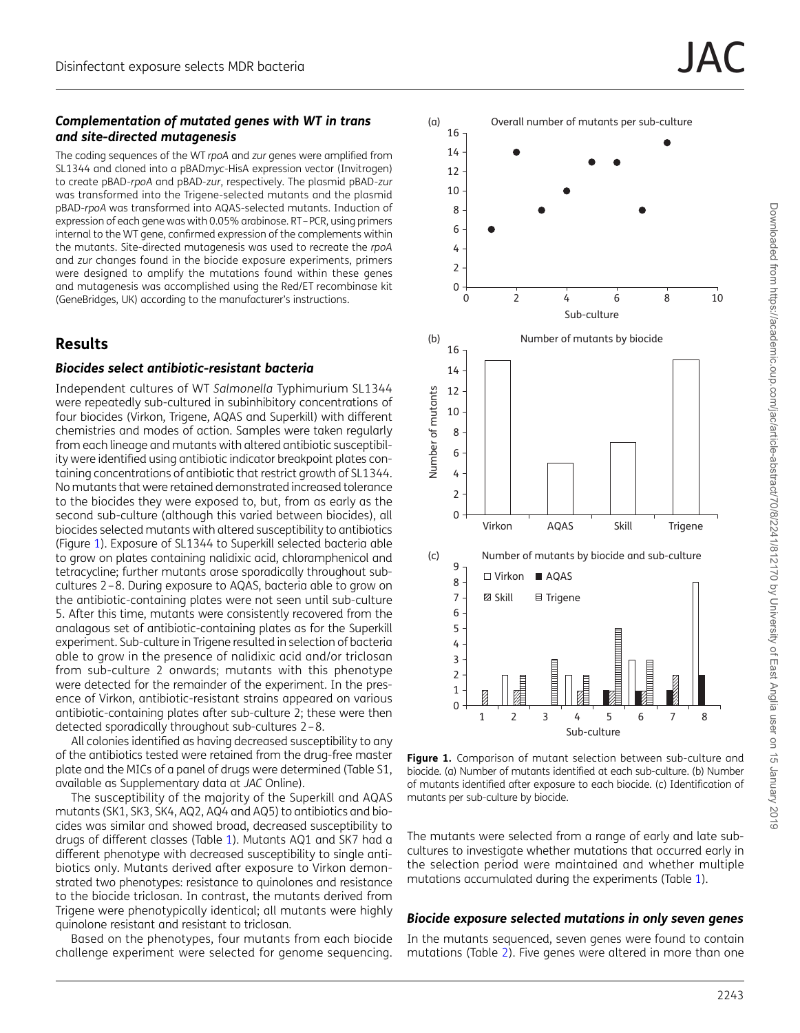### Complementation of mutated genes with WT in trans and site-directed mutagenesis

The coding sequences of the WT rpoA and zur genes were amplified from SL1344 and cloned into a pBADmyc-HisA expression vector (Invitrogen) to create pBAD-rpoA and pBAD-zur, respectively. The plasmid pBAD-zur was transformed into the Trigene-selected mutants and the plasmid pBAD-rpoA was transformed into AQAS-selected mutants. Induction of expression of each gene was with 0.05% arabinose. RT–PCR, using primers internal to the WT gene, confirmed expression of the complements within the mutants. Site-directed mutagenesis was used to recreate the rpoA and zur changes found in the biocide exposure experiments, primers were designed to amplify the mutations found within these genes and mutagenesis was accomplished using the Red/ET recombinase kit (GeneBridges, UK) according to the manufacturer's instructions.

# Results

#### Biocides select antibiotic-resistant bacteria

Independent cultures of WT Salmonella Typhimurium SL1344 were repeatedly sub-cultured in subinhibitory concentrations of four biocides (Virkon, Trigene, AQAS and Superkill) with different chemistries and modes of action. Samples were taken regularly from each lineage and mutants with altered antibiotic susceptibility were identified using antibiotic indicator breakpoint plates containing concentrations of antibiotic that restrict growth of SL1344. No mutants that were retained demonstrated increased tolerance to the biocides they were exposed to, but, from as early as the second sub-culture (although this varied between biocides), all biocides selected mutants with altered susceptibility to antibiotics (Figure 1). Exposure of SL1344 to Superkill selected bacteria able to grow on plates containing nalidixic acid, chloramphenicol and tetracycline; further mutants arose sporadically throughout subcultures 2 –8. During exposure to AQAS, bacteria able to grow on the antibiotic-containing plates were not seen until sub-culture 5. After this time, mutants were consistently recovered from the analagous set of antibiotic-containing plates as for the Superkill experiment. Sub-culture in Trigene resulted in selection of bacteria able to grow in the presence of nalidixic acid and/or triclosan from sub-culture 2 onwards; mutants with this phenotype were detected for the remainder of the experiment. In the presence of Virkon, antibiotic-resistant strains appeared on various antibiotic-containing plates after sub-culture 2; these were then detected sporadically throughout sub-cultures 2 –8.

All colonies identified as having decreased susceptibility to any of the antibiotics tested were retained from the drug-free master plate and the MICs of a panel of drugs were determined ([Table S1,](http://jac.oxfordjournals.org/lookup/suppl/doi:10.1093/jac/dkv109/-/DC1) [available as Supplementary data at](http://jac.oxfordjournals.org/lookup/suppl/doi:10.1093/jac/dkv109/-/DC1) JAC Online).

The susceptibility of the majority of the Superkill and AQAS mutants (SK1, SK3, SK4, AQ2, AQ4 and AQ5) to antibiotics and biocides was similar and showed broad, decreased susceptibility to drugs of different classes (Table [1](#page-3-0)). Mutants AQ1 and SK7 had a different phenotype with decreased susceptibility to single antibiotics only. Mutants derived after exposure to Virkon demonstrated two phenotypes: resistance to quinolones and resistance to the biocide triclosan. In contrast, the mutants derived from Trigene were phenotypically identical; all mutants were highly quinolone resistant and resistant to triclosan.

Based on the phenotypes, four mutants from each biocide challenge experiment were selected for genome sequencing.



Figure 1. Comparison of mutant selection between sub-culture and biocide. (a) Number of mutants identified at each sub-culture. (b) Number of mutants identified after exposure to each biocide. (c) Identification of mutants per sub-culture by biocide.

The mutants were selected from a range of early and late subcultures to investigate whether mutations that occurred early in the selection period were maintained and whether multiple mutations accumulated during the experiments (Table [1](#page-3-0)).

#### Biocide exposure selected mutations in only seven genes

In the mutants sequenced, seven genes were found to contain mutations (Table [2\)](#page-4-0). Five genes were altered in more than one

JAC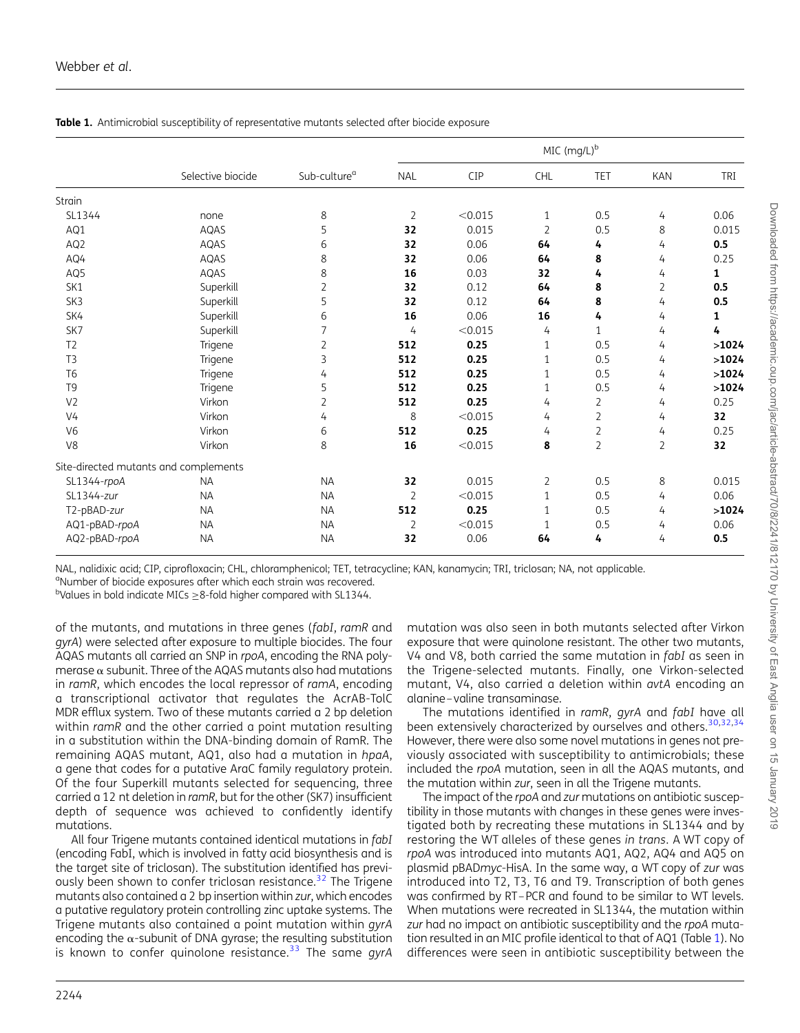|                                       |                   |                          | MIC (mg/L)b    |         |                |                |                |       |
|---------------------------------------|-------------------|--------------------------|----------------|---------|----------------|----------------|----------------|-------|
|                                       | Selective biocide | Sub-culture <sup>a</sup> | <b>NAL</b>     | CIP     | <b>CHL</b>     | <b>TET</b>     | <b>KAN</b>     | TRI   |
| Strain                                |                   |                          |                |         |                |                |                |       |
| SL1344                                | none              | 8                        | $\overline{2}$ | < 0.015 | $\mathbf{1}$   | 0.5            | 4              | 0.06  |
| AQ1                                   | AQAS              | 5                        | 32             | 0.015   | $\overline{2}$ | 0.5            | 8              | 0.015 |
| AQ2                                   | AQAS              | 6                        | 32             | 0.06    | 64             | 4              | 4              | 0.5   |
| AQ4                                   | AQAS              | 8                        | 32             | 0.06    | 64             | 8              | 4              | 0.25  |
| AQ5                                   | AQAS              | 8                        | 16             | 0.03    | 32             | 4              | 4              | 1     |
| SK1                                   | Superkill         | $\overline{2}$           | 32             | 0.12    | 64             | 8              | $\overline{2}$ | 0.5   |
| SK3                                   | Superkill         | 5                        | 32             | 0.12    | 64             | 8              | 4              | 0.5   |
| SK4                                   | Superkill         | 6                        | 16             | 0.06    | 16             | 4              | 4              | 1     |
| SK7                                   | Superkill         | 7                        | 4              | < 0.015 | 4              | $\mathbf{1}$   | 4              | 4     |
| T <sub>2</sub>                        | Trigene           | 2                        | 512            | 0.25    | 1              | 0.5            | 4              | >1024 |
| T <sub>3</sub>                        | Trigene           | 3                        | 512            | 0.25    | 1              | 0.5            | 4              | >1024 |
| T <sub>6</sub>                        | Trigene           | 4                        | 512            | 0.25    | 1              | 0.5            | 4              | >1024 |
| T <sub>9</sub>                        | Trigene           | 5                        | 512            | 0.25    | $\mathbf{1}$   | 0.5            | 4              | >1024 |
| V <sub>2</sub>                        | Virkon            | $\overline{2}$           | 512            | 0.25    | 4              | $\overline{2}$ | 4              | 0.25  |
| V <sub>4</sub>                        | Virkon            | 4                        | 8              | < 0.015 | 4              | $\overline{2}$ | 4              | 32    |
| V <sub>6</sub>                        | Virkon            | 6                        | 512            | 0.25    | 4              | $\overline{2}$ | 4              | 0.25  |
| V8                                    | Virkon            | 8                        | 16             | < 0.015 | 8              | $\overline{2}$ | $\overline{2}$ | 32    |
| Site-directed mutants and complements |                   |                          |                |         |                |                |                |       |
| SL1344-rpoA                           | <b>NA</b>         | <b>NA</b>                | 32             | 0.015   | $\sqrt{2}$     | 0.5            | 8              | 0.015 |
| SL1344-zur                            | <b>NA</b>         | <b>NA</b>                | $\overline{2}$ | < 0.015 | 1              | 0.5            | 4              | 0.06  |
| T2-pBAD-zur                           | <b>NA</b>         | <b>NA</b>                | 512            | 0.25    | 1              | 0.5            | 4              | >1024 |
| AQ1-pBAD-rpoA                         | <b>NA</b>         | <b>NA</b>                | 2              | < 0.015 | 1              | 0.5            | 4              | 0.06  |
| AQ2-pBAD-rpoA                         | <b>NA</b>         | <b>NA</b>                | 32             | 0.06    | 64             | 4              | 4              | 0.5   |

<span id="page-3-0"></span>Table 1. Antimicrobial susceptibility of representative mutants selected after biocide exposure

NAL, nalidixic acid; CIP, ciprofloxacin; CHL, chloramphenicol; TET, tetracycline; KAN, kanamycin; TRI, triclosan; NA, not applicable.

<sup>a</sup>Number of biocide exposures after which each strain was recovered.

 $^{\text{b}}$ Values in bold indicate MICs  $\geq$ 8-fold higher compared with SL1344.

of the mutants, and mutations in three genes (fabI, ramR and gyrA) were selected after exposure to multiple biocides. The four AQAS mutants all carried an SNP in rpoA, encoding the RNA polymerase  $\alpha$  subunit. Three of the AQAS mutants also had mutations in ramR, which encodes the local repressor of ramA, encoding a transcriptional activator that regulates the AcrAB-TolC MDR efflux system. Two of these mutants carried a 2 bp deletion within ramR and the other carried a point mutation resulting in a substitution within the DNA-binding domain of RamR. The remaining AQAS mutant, AQ1, also had a mutation in hpaA, a gene that codes for a putative AraC family regulatory protein. Of the four Superkill mutants selected for sequencing, three carried a 12 nt deletion in ramR, but for the other (SK7) insufficient depth of sequence was achieved to confidently identify mutations.

All four Trigene mutants contained identical mutations in fabI (encoding FabI, which is involved in fatty acid biosynthesis and is the target site of triclosan). The substitution identified has previ-ously been shown to confer triclosan resistance.<sup>[32](#page-7-0)</sup> The Trigene mutants also contained a 2 bp insertion within zur, which encodes a putative regulatory protein controlling zinc uptake systems. The Trigene mutants also contained a point mutation within gyrA encoding the  $\alpha$ -subunit of DNA gyrase; the resulting substitution is known to confer quinolone resistance.<sup>[33](#page-7-0)</sup> The same gyrA mutation was also seen in both mutants selected after Virkon exposure that were quinolone resistant. The other two mutants, V4 and V8, both carried the same mutation in fabI as seen in the Trigene-selected mutants. Finally, one Virkon-selected mutant, V4, also carried a deletion within avtA encoding an alanine –valine transaminase.

The mutations identified in ramR, gyrA and fabI have all been extensively characterized by ourselves and others.<sup>[30](#page-7-0),[32](#page-7-0),[34](#page-7-0)</sup> However, there were also some novel mutations in genes not previously associated with susceptibility to antimicrobials; these included the rpoA mutation, seen in all the AQAS mutants, and the mutation within zur, seen in all the Trigene mutants.

The impact of the rpoA and zur mutations on antibiotic susceptibility in those mutants with changes in these genes were investigated both by recreating these mutations in SL1344 and by restoring the WT alleles of these genes in trans. A WT copy of rpoA was introduced into mutants AQ1, AQ2, AQ4 and AQ5 on plasmid pBADmyc-HisA. In the same way, a WT copy of zur was introduced into T2, T3, T6 and T9. Transcription of both genes was confirmed by RT – PCR and found to be similar to WT levels. When mutations were recreated in SL1344, the mutation within zur had no impact on antibiotic susceptibility and the rpoA mutation resulted in an MIC profile identical to that of AQ1 (Table 1). No differences were seen in antibiotic susceptibility between the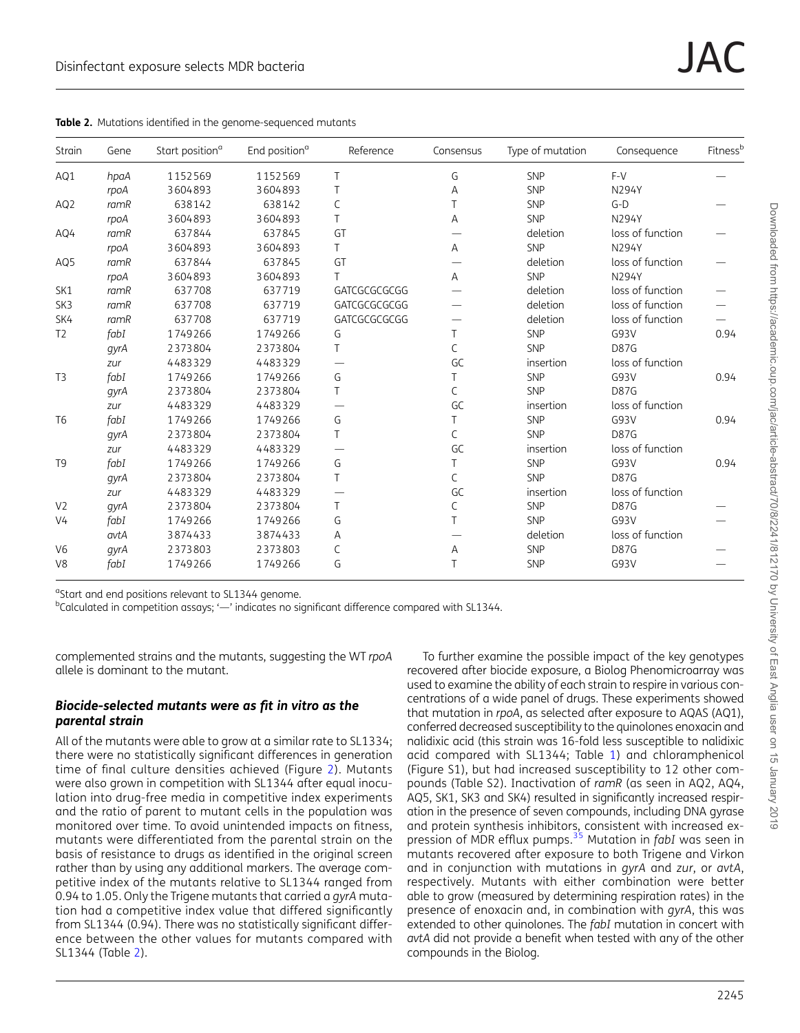<span id="page-4-0"></span>Table 2. Mutations identified in the genome-sequenced mutants

| AQ1            | hpaA       | 1152569 | 1152569 |              | G            | SNP       | $F-V$            |      |
|----------------|------------|---------|---------|--------------|--------------|-----------|------------------|------|
|                | rpoA       | 3604893 | 3604893 |              | A            | SNP       | <b>N294Y</b>     |      |
| AQ2            | $r$ am $R$ | 638142  | 638142  | C            |              | SNP       | $G-D$            |      |
|                | rpoA       | 3604893 | 3604893 |              | Α            | SNP       | N294Y            |      |
| AQ4            | ramR       | 637844  | 637845  | GT           |              | deletion  | loss of function |      |
|                | rpoA       | 3604893 | 3604893 | T.           | Α            | SNP       | N294Y            |      |
| AQ5            | ramR       | 637844  | 637845  | GT           |              | deletion  | loss of function |      |
|                | rpoA       | 3604893 | 3604893 |              | $\mathsf{A}$ | SNP       | N294Y            |      |
| SK1            | ramR       | 637708  | 637719  | GATCGCGCGCGG |              | deletion  | loss of function |      |
| SK3            | $r$ am $R$ | 637708  | 637719  | GATCGCGCGCGG |              | deletion  | loss of function |      |
| SK4            | ramR       | 637708  | 637719  | GATCGCGCGCGG |              | deletion  | loss of function |      |
| T <sub>2</sub> | fabI       | 1749266 | 1749266 | G            | Τ            | SNP       | G93V             | 0.94 |
|                | qyrA       | 2373804 | 2373804 |              | $\mathsf C$  | SNP       | <b>D87G</b>      |      |
|                | zur        | 4483329 | 4483329 |              | GC           | insertion | loss of function |      |
| T <sub>3</sub> | fabI       | 1749266 | 1749266 | G            | T            | SNP       | G93V             | 0.94 |
|                | gyrA       | 2373804 | 2373804 |              | C            | SNP       | <b>D87G</b>      |      |
|                | zur        | 4483329 | 4483329 |              | GC           | insertion | loss of function |      |
| T <sub>6</sub> | fabI       | 1749266 | 1749266 | G            | T            | SNP       | G93V             | 0.94 |
|                | gyrA       | 2373804 | 2373804 |              | C            | SNP       | <b>D87G</b>      |      |
|                | zur        | 4483329 | 4483329 |              | GC           | insertion | loss of function |      |
| T <sub>9</sub> | fabI       | 1749266 | 1749266 | G            | Τ            | SNP       | G93V             | 0.94 |
|                | gyrA       | 2373804 | 2373804 |              | C            | SNP       | <b>D87G</b>      |      |
|                | zur        | 4483329 | 4483329 |              | GC           | insertion | loss of function |      |
| V <sub>2</sub> | gyrA       | 2373804 | 2373804 | T.           | С            | SNP       | <b>D87G</b>      |      |
| V <sub>4</sub> | fabI       | 1749266 | 1749266 | G            |              | SNP       | G93V             |      |
|                | avtA       | 3874433 | 3874433 | Α            |              | deletion  | loss of function |      |
| V <sub>6</sub> | gyrA       | 2373803 | 2373803 | C            | Α            | SNP       | <b>D87G</b>      |      |
| V8             | fabI       | 1749266 | 1749266 | G            |              | SNP       | G93V             |      |

<sup>a</sup>Start and end positions relevant to SL1344 genome.

<sup>b</sup>Calculated in competition assays; '—' indicates no significant difference compared with SL1344.

complemented strains and the mutants, suggesting the WT rpoA allele is dominant to the mutant.

#### Biocide-selected mutants were as fit in vitro as the parental strain

All of the mutants were able to grow at a similar rate to SL1334; there were no statistically significant differences in generation time of final culture densities achieved (Figure [2](#page-5-0)). Mutants were also grown in competition with SL1344 after equal inoculation into drug-free media in competitive index experiments and the ratio of parent to mutant cells in the population was monitored over time. To avoid unintended impacts on fitness, mutants were differentiated from the parental strain on the basis of resistance to drugs as identified in the original screen rather than by using any additional markers. The average competitive index of the mutants relative to SL1344 ranged from 0.94 to 1.05. Only the Trigene mutants that carried a gyrA mutation had a competitive index value that differed significantly from SL1344 (0.94). There was no statistically significant difference between the other values for mutants compared with SL1344 (Table 2).

To further examine the possible impact of the key genotypes recovered after biocide exposure, a Biolog Phenomicroarray was used to examine the ability of each strain to respire in various concentrations of a wide panel of drugs. These experiments showed that mutation in rpoA, as selected after exposure to AQAS (AQ1), conferred decreased susceptibility to the quinolones enoxacin and nalidixic acid (this strain was 16-fold less susceptible to nalidixic acid compared with SL1344; Table [1](#page-3-0)) and chloramphenicol ([Figure S1](http://jac.oxfordjournals.org/lookup/suppl/doi:10.1093/jac/dkv109/-/DC1)), but had increased susceptibility to 12 other compounds [\(Table S2\)](http://jac.oxfordjournals.org/lookup/suppl/doi:10.1093/jac/dkv109/-/DC1). Inactivation of ramR (as seen in AQ2, AQ4, AQ5, SK1, SK3 and SK4) resulted in significantly increased respiration in the presence of seven compounds, including DNA gyrase and protein synthesis inhibitors, consistent with increased ex-pression of MDR efflux pumps.<sup>[35](#page-7-0)</sup> Mutation in *fabI* was seen in mutants recovered after exposure to both Trigene and Virkon and in conjunction with mutations in gyrA and zur, or avtA, respectively. Mutants with either combination were better able to grow (measured by determining respiration rates) in the presence of enoxacin and, in combination with gyrA, this was extended to other quinolones. The fabI mutation in concert with avtA did not provide a benefit when tested with any of the other compounds in the Biolog.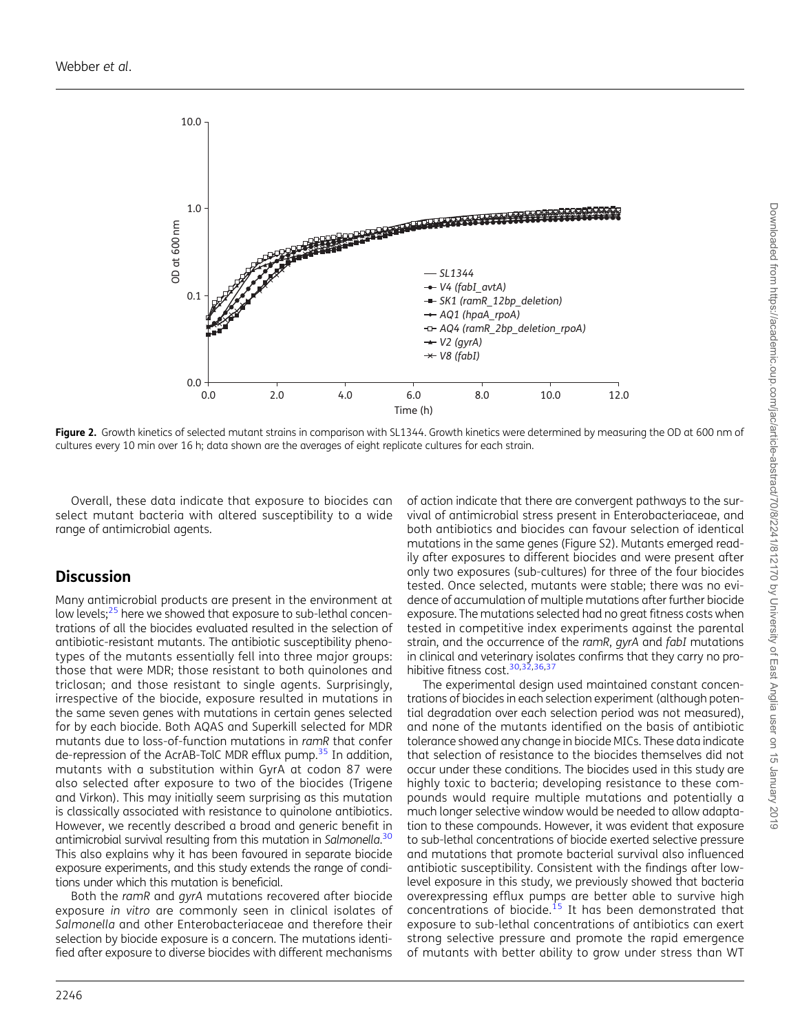<span id="page-5-0"></span>

Figure 2. Growth kinetics of selected mutant strains in comparison with SL1344. Growth kinetics were determined by measuring the OD at 600 nm of cultures every 10 min over 16 h; data shown are the averages of eight replicate cultures for each strain.

Overall, these data indicate that exposure to biocides can select mutant bacteria with altered susceptibility to a wide range of antimicrobial agents.

### **Discussion**

Many antimicrobial products are present in the environment at low levels;<sup>[25](#page-6-0)</sup> here we showed that exposure to sub-lethal concentrations of all the biocides evaluated resulted in the selection of antibiotic-resistant mutants. The antibiotic susceptibility phenotypes of the mutants essentially fell into three major groups: those that were MDR; those resistant to both quinolones and triclosan; and those resistant to single agents. Surprisingly, irrespective of the biocide, exposure resulted in mutations in the same seven genes with mutations in certain genes selected for by each biocide. Both AQAS and Superkill selected for MDR mutants due to loss-of-function mutations in ramR that confer de-repression of the AcrAB-TolC MDR efflux pump.<sup>[35](#page-7-0)</sup> In addition, mutants with a substitution within GyrA at codon 87 were also selected after exposure to two of the biocides (Trigene and Virkon). This may initially seem surprising as this mutation is classically associated with resistance to quinolone antibiotics. However, we recently described a broad and generic benefit in antimicrobial survival resulting from this mutation in Salmonella.<sup>[30](#page-7-0)</sup> This also explains why it has been favoured in separate biocide exposure experiments, and this study extends the range of conditions under which this mutation is beneficial.

Both the ramR and gyrA mutations recovered after biocide exposure in vitro are commonly seen in clinical isolates of Salmonella and other Enterobacteriaceae and therefore their selection by biocide exposure is a concern. The mutations identified after exposure to diverse biocides with different mechanisms

of action indicate that there are convergent pathways to the survival of antimicrobial stress present in Enterobacteriaceae, and both antibiotics and biocides can favour selection of identical mutations in the same genes ([Figure S2](http://jac.oxfordjournals.org/lookup/suppl/doi:10.1093/jac/dkv109/-/DC1)). Mutants emerged readily after exposures to different biocides and were present after only two exposures (sub-cultures) for three of the four biocides tested. Once selected, mutants were stable; there was no evidence of accumulation of multiple mutations after further biocide exposure. The mutations selected had no great fitness costs when tested in competitive index experiments against the parental strain, and the occurrence of the ramR, gyrA and fabI mutations in clinical and veterinary isolates confirms that they carry no pro-hibitive fitness cost.<sup>[30,32](#page-7-0),[36,37](#page-7-0)</sup>

The experimental design used maintained constant concentrations of biocides in each selection experiment (although potential degradation over each selection period was not measured), and none of the mutants identified on the basis of antibiotic tolerance showed any change in biocide MICs. These data indicate that selection of resistance to the biocides themselves did not occur under these conditions. The biocides used in this study are highly toxic to bacteria; developing resistance to these compounds would require multiple mutations and potentially a much longer selective window would be needed to allow adaptation to these compounds. However, it was evident that exposure to sub-lethal concentrations of biocide exerted selective pressure and mutations that promote bacterial survival also influenced antibiotic susceptibility. Consistent with the findings after lowlevel exposure in this study, we previously showed that bacteria overexpressing efflux pumps are better able to survive high concentrations of biocide.<sup>[15](#page-6-0)</sup> It has been demonstrated that exposure to sub-lethal concentrations of antibiotics can exert strong selective pressure and promote the rapid emergence of mutants with better ability to grow under stress than WT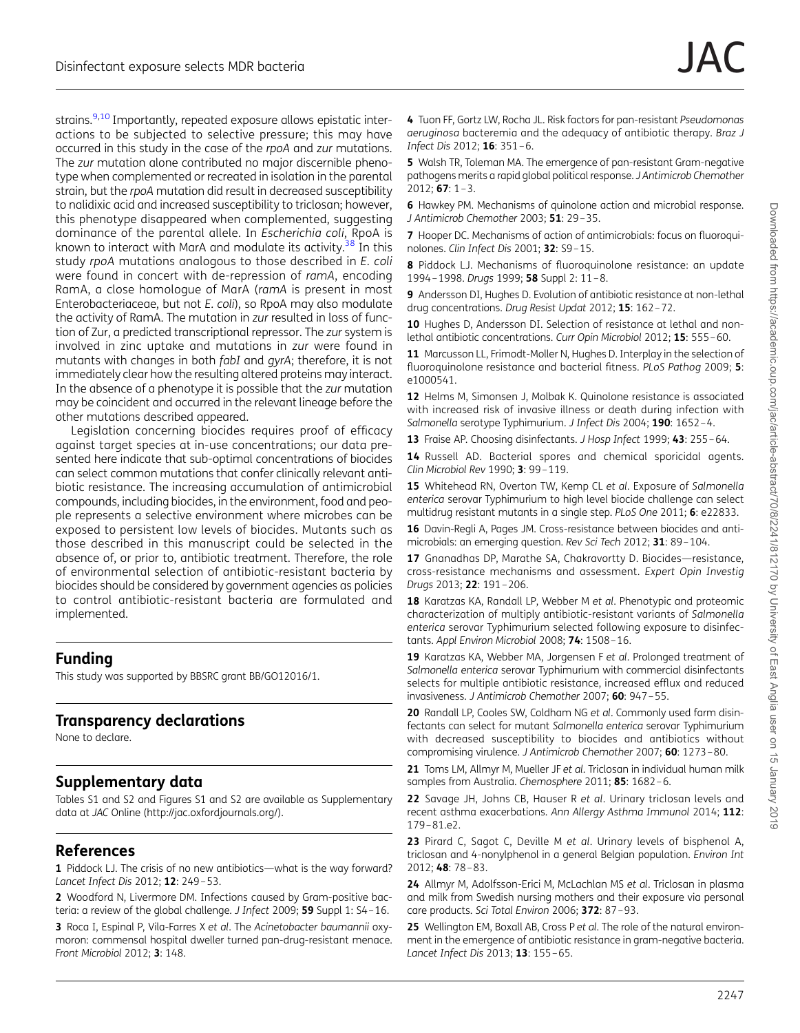<span id="page-6-0"></span>strains.<sup>9,10</sup> Importantly, repeated exposure allows epistatic interactions to be subjected to selective pressure; this may have occurred in this study in the case of the rpoA and zur mutations. The zur mutation alone contributed no major discernible phenotype when complemented or recreated in isolation in the parental strain, but the rpoA mutation did result in decreased susceptibility to nalidixic acid and increased susceptibility to triclosan; however, this phenotype disappeared when complemented, suggesting dominance of the parental allele. In Escherichia coli, RpoA is known to interact with MarA and modulate its activity.<sup>38</sup> In this study rpoA mutations analogous to those described in E. coli were found in concert with de-repression of ramA, encoding RamA, a close homologue of MarA (ramA is present in most Enterobacteriaceae, but not E. coli), so RpoA may also modulate the activity of RamA. The mutation in zur resulted in loss of function of Zur, a predicted transcriptional repressor. The zur system is involved in zinc uptake and mutations in zur were found in mutants with changes in both fabI and gyrA; therefore, it is not immediately clear how the resulting altered proteins may interact. In the absence of a phenotype it is possible that the zur mutation may be coincident and occurred in the relevant lineage before the other mutations described appeared.

Legislation concerning biocides requires proof of efficacy against target species at in-use concentrations; our data presented here indicate that sub-optimal concentrations of biocides can select common mutations that confer clinically relevant antibiotic resistance. The increasing accumulation of antimicrobial compounds, including biocides, in the environment, food and people represents a selective environment where microbes can be exposed to persistent low levels of biocides. Mutants such as those described in this manuscript could be selected in the absence of, or prior to, antibiotic treatment. Therefore, the role of environmental selection of antibiotic-resistant bacteria by biocides should be considered by government agencies as policies to control antibiotic-resistant bacteria are formulated and implemented.

# Funding

This study was supported by BBSRC grant BB/GO12016/1.

# Transparency declarations

None to declare.

# Supplementary data

[Tables S1 and S2 and Figures S1 and S2 are available as Supplementary](http://jac.oxfordjournals.org/lookup/suppl/doi:10.1093/jac/dkv109/-/DC1) data at JAC [Online \(http://jac.oxfordjournals.org/\).](http://jac.oxfordjournals.org/lookup/suppl/doi:10.1093/jac/dkv109/-/DC1)

# References

1 Piddock LJ. The crisis of no new antibiotics—what is the way forward? Lancet Infect Dis 2012; 12: 249–53.

2 Woodford N, Livermore DM. Infections caused by Gram-positive bacteria: a review of the global challenge. J Infect 2009; 59 Suppl 1: S4-16.

3 Roca I, Espinal P, Vila-Farres X et al. The Acinetobacter baumannii oxymoron: commensal hospital dweller turned pan-drug-resistant menace. Front Microbiol 2012; 3: 148.

4 Tuon FF, Gortz LW, Rocha JL. Risk factors for pan-resistant Pseudomonas aeruginosa bacteremia and the adequacy of antibiotic therapy. Braz J Infect Dis 2012; 16: 351–6.

5 Walsh TR, Toleman MA. The emergence of pan-resistant Gram-negative pathogens merits a rapid global political response. J Antimicrob Chemother  $2012: 67: 1-3.$ 

6 Hawkey PM. Mechanisms of quinolone action and microbial response. J Antimicrob Chemother 2003; 51: 29-35.

7 Hooper DC. Mechanisms of action of antimicrobials: focus on fluoroquinolones. Clin Infect Dis 2001; 32: S9 –15.

8 Piddock LJ. Mechanisms of fluoroquinolone resistance: an update 1994–1998. Drugs 1999; 58 Suppl 2: 11–8.

9 Andersson DI, Hughes D. Evolution of antibiotic resistance at non-lethal drug concentrations. Drug Resist Updat 2012; 15: 162–72.

10 Hughes D, Andersson DI. Selection of resistance at lethal and nonlethal antibiotic concentrations. Curr Opin Microbiol 2012; 15: 555–60.

11 Marcusson LL, Frimodt-Moller N, Hughes D. Interplay in the selection of fluoroquinolone resistance and bacterial fitness. PLoS Pathog 2009; 5: e1000541.

12 Helms M, Simonsen J, Molbak K. Quinolone resistance is associated with increased risk of invasive illness or death during infection with Salmonella serotype Typhimurium. J Infect Dis 2004; 190: 1652-4.

13 Fraise AP. Choosing disinfectants. J Hosp Infect 1999; 43: 255-64.

14 Russell AD. Bacterial spores and chemical sporicidal agents. Clin Microbiol Rev 1990; 3: 99–119.

15 Whitehead RN, Overton TW, Kemp CL et al. Exposure of Salmonella enterica serovar Typhimurium to high level biocide challenge can select multidrug resistant mutants in a single step. PLoS One 2011; 6: e22833.

16 Davin-Regli A, Pages JM. Cross-resistance between biocides and antimicrobials: an emerging question. Rev Sci Tech 2012; 31: 89–104.

17 Gnanadhas DP, Marathe SA, Chakravortty D. Biocides-resistance, cross-resistance mechanisms and assessment. Expert Opin Investig Drugs 2013; 22: 191–206.

18 Karatzas KA, Randall LP, Webber M et al. Phenotypic and proteomic characterization of multiply antibiotic-resistant variants of Salmonella enterica serovar Typhimurium selected following exposure to disinfectants. Appl Environ Microbiol 2008; 74: 1508-16.

19 Karatzas KA, Webber MA, Jorgensen F et al. Prolonged treatment of Salmonella enterica serovar Typhimurium with commercial disinfectants selects for multiple antibiotic resistance, increased efflux and reduced invasiveness. J Antimicrob Chemother 2007; 60: 947–55.

20 Randall LP, Cooles SW, Coldham NG et al. Commonly used farm disinfectants can select for mutant Salmonella enterica serovar Typhimurium with decreased susceptibility to biocides and antibiotics without compromising virulence. J Antimicrob Chemother 2007; 60: 1273–80.

21 Toms LM, Allmyr M, Mueller JF et al. Triclosan in individual human milk samples from Australia. Chemosphere 2011; 85: 1682-6.

22 Savage JH, Johns CB, Hauser R et al. Urinary triclosan levels and recent asthma exacerbations. Ann Allergy Asthma Immunol 2014; 112: 179–81.e2.

23 Pirard C, Sagot C, Deville M et al. Urinary levels of bisphenol A, triclosan and 4-nonylphenol in a general Belgian population. Environ Int 2012; 48: 78–83.

24 Allmyr M, Adolfsson-Erici M, McLachlan MS et al. Triclosan in plasma and milk from Swedish nursing mothers and their exposure via personal care products. Sci Total Environ 2006; 372: 87-93.

25 Wellington EM, Boxall AB, Cross P et al. The role of the natural environment in the emergence of antibiotic resistance in gram-negative bacteria. Lancet Infect Dis 2013; 13: 155-65.